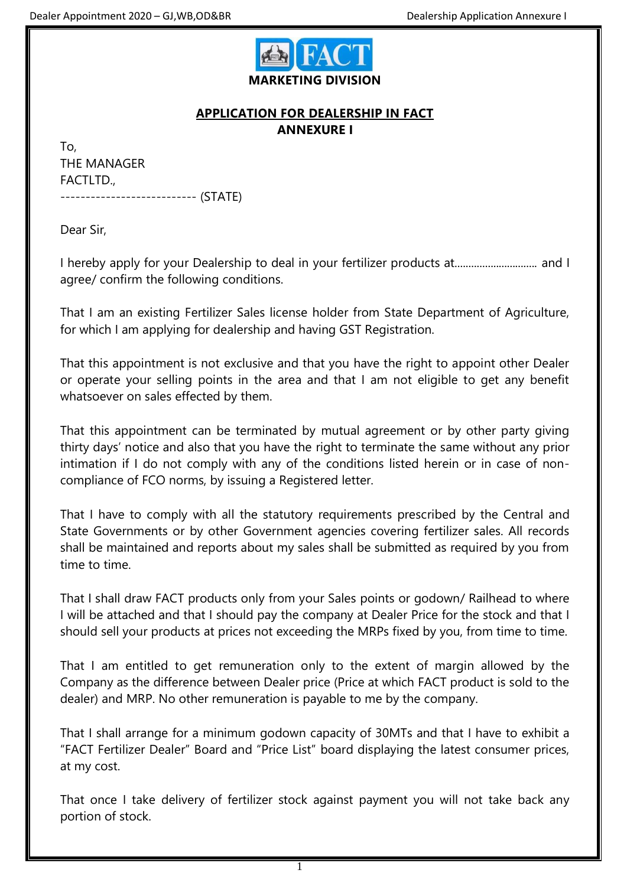

## **APPLICATION FOR DEALERSHIP IN FACT ANNEXURE I**

To, THE MANAGER FACTLTD., --------------------------- (STATE)

Dear Sir,

I hereby apply for your Dealership to deal in your fertilizer products at.............................. and I agree/ confirm the following conditions.

That I am an existing Fertilizer Sales license holder from State Department of Agriculture, for which I am applying for dealership and having GST Registration.

That this appointment is not exclusive and that you have the right to appoint other Dealer or operate your selling points in the area and that I am not eligible to get any benefit whatsoever on sales effected by them.

That this appointment can be terminated by mutual agreement or by other party giving thirty days' notice and also that you have the right to terminate the same without any prior intimation if I do not comply with any of the conditions listed herein or in case of noncompliance of FCO norms, by issuing a Registered letter.

That I have to comply with all the statutory requirements prescribed by the Central and State Governments or by other Government agencies covering fertilizer sales. All records shall be maintained and reports about my sales shall be submitted as required by you from time to time.

That I shall draw FACT products only from your Sales points or godown/ Railhead to where I will be attached and that I should pay the company at Dealer Price for the stock and that I should sell your products at prices not exceeding the MRPs fixed by you, from time to time.

That I am entitled to get remuneration only to the extent of margin allowed by the Company as the difference between Dealer price (Price at which FACT product is sold to the dealer) and MRP. No other remuneration is payable to me by the company.

That I shall arrange for a minimum godown capacity of 30MTs and that I have to exhibit a "FACT Fertilizer Dealer" Board and "Price List" board displaying the latest consumer prices, at my cost.

That once I take delivery of fertilizer stock against payment you will not take back any portion of stock.

1